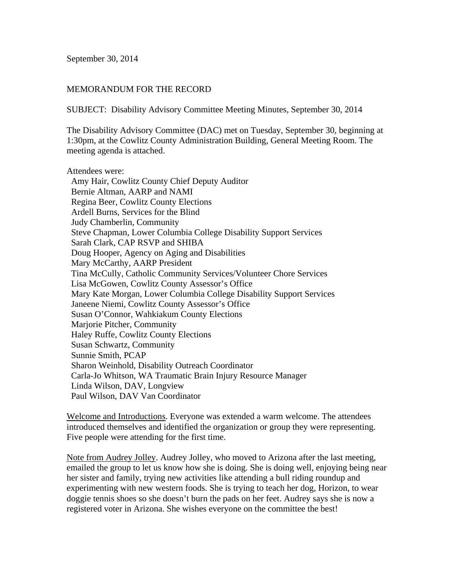September 30, 2014

## MEMORANDUM FOR THE RECORD

SUBJECT: Disability Advisory Committee Meeting Minutes, September 30, 2014

The Disability Advisory Committee (DAC) met on Tuesday, September 30, beginning at 1:30pm, at the Cowlitz County Administration Building, General Meeting Room. The meeting agenda is attached.

## Attendees were:

 Amy Hair, Cowlitz County Chief Deputy Auditor Bernie Altman, AARP and NAMI Regina Beer, Cowlitz County Elections Ardell Burns, Services for the Blind Judy Chamberlin, Community Steve Chapman, Lower Columbia College Disability Support Services Sarah Clark, CAP RSVP and SHIBA Doug Hooper, Agency on Aging and Disabilities Mary McCarthy, AARP President Tina McCully, Catholic Community Services/Volunteer Chore Services Lisa McGowen, Cowlitz County Assessor's Office Mary Kate Morgan, Lower Columbia College Disability Support Services Janeene Niemi, Cowlitz County Assessor's Office Susan O'Connor, Wahkiakum County Elections Marjorie Pitcher, Community Haley Ruffe, Cowlitz County Elections Susan Schwartz, Community Sunnie Smith, PCAP Sharon Weinhold, Disability Outreach Coordinator Carla-Jo Whitson, WA Traumatic Brain Injury Resource Manager Linda Wilson, DAV, Longview Paul Wilson, DAV Van Coordinator

Welcome and Introductions. Everyone was extended a warm welcome. The attendees introduced themselves and identified the organization or group they were representing. Five people were attending for the first time.

Note from Audrey Jolley. Audrey Jolley, who moved to Arizona after the last meeting, emailed the group to let us know how she is doing. She is doing well, enjoying being near her sister and family, trying new activities like attending a bull riding roundup and experimenting with new western foods. She is trying to teach her dog, Horizon, to wear doggie tennis shoes so she doesn't burn the pads on her feet. Audrey says she is now a registered voter in Arizona. She wishes everyone on the committee the best!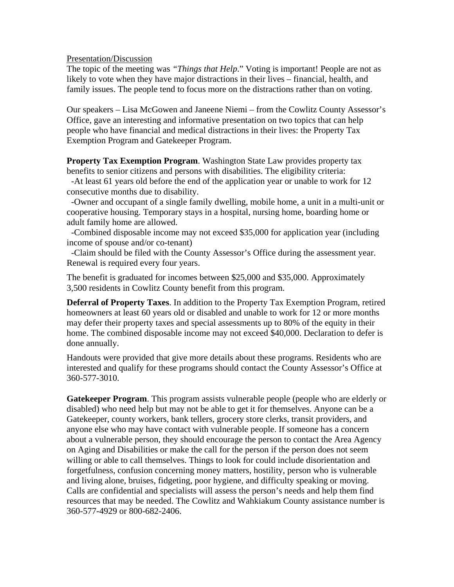Presentation/Discussion

The topic of the meeting was *"Things that Help*." Voting is important! People are not as likely to vote when they have major distractions in their lives – financial, health, and family issues. The people tend to focus more on the distractions rather than on voting.

Our speakers – Lisa McGowen and Janeene Niemi – from the Cowlitz County Assessor's Office, gave an interesting and informative presentation on two topics that can help people who have financial and medical distractions in their lives: the Property Tax Exemption Program and Gatekeeper Program.

**Property Tax Exemption Program**. Washington State Law provides property tax benefits to senior citizens and persons with disabilities. The eligibility criteria:

 -At least 61 years old before the end of the application year or unable to work for 12 consecutive months due to disability.

 -Owner and occupant of a single family dwelling, mobile home, a unit in a multi-unit or cooperative housing. Temporary stays in a hospital, nursing home, boarding home or adult family home are allowed.

 -Combined disposable income may not exceed \$35,000 for application year (including income of spouse and/or co-tenant)

 -Claim should be filed with the County Assessor's Office during the assessment year. Renewal is required every four years.

The benefit is graduated for incomes between \$25,000 and \$35,000. Approximately 3,500 residents in Cowlitz County benefit from this program.

**Deferral of Property Taxes**. In addition to the Property Tax Exemption Program, retired homeowners at least 60 years old or disabled and unable to work for 12 or more months may defer their property taxes and special assessments up to 80% of the equity in their home. The combined disposable income may not exceed \$40,000. Declaration to defer is done annually.

Handouts were provided that give more details about these programs. Residents who are interested and qualify for these programs should contact the County Assessor's Office at 360-577-3010.

**Gatekeeper Program**. This program assists vulnerable people (people who are elderly or disabled) who need help but may not be able to get it for themselves. Anyone can be a Gatekeeper, county workers, bank tellers, grocery store clerks, transit providers, and anyone else who may have contact with vulnerable people. If someone has a concern about a vulnerable person, they should encourage the person to contact the Area Agency on Aging and Disabilities or make the call for the person if the person does not seem willing or able to call themselves. Things to look for could include disorientation and forgetfulness, confusion concerning money matters, hostility, person who is vulnerable and living alone, bruises, fidgeting, poor hygiene, and difficulty speaking or moving. Calls are confidential and specialists will assess the person's needs and help them find resources that may be needed. The Cowlitz and Wahkiakum County assistance number is 360-577-4929 or 800-682-2406.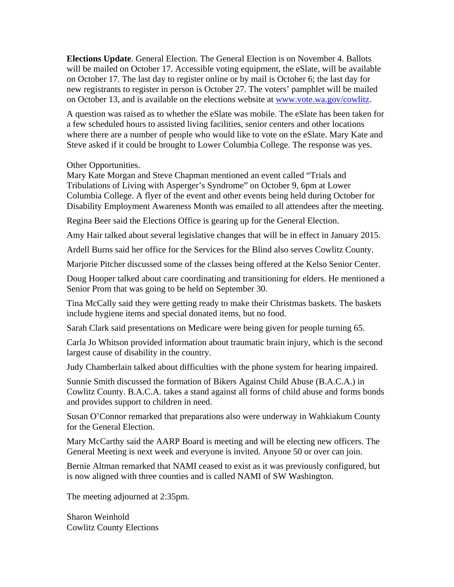**Elections Update**. General Election. The General Election is on November 4. Ballots will be mailed on October 17. Accessible voting equipment, the eSlate, will be available on October 17. The last day to register online or by mail is October 6; the last day for new registrants to register in person is October 27. The voters' pamphlet will be mailed on October 13, and is available on the elections website at www.vote.wa.gov/cowlitz.

A question was raised as to whether the eSlate was mobile. The eSlate has been taken for a few scheduled hours to assisted living facilities, senior centers and other locations where there are a number of people who would like to vote on the eSlate. Mary Kate and Steve asked if it could be brought to Lower Columbia College. The response was yes.

Other Opportunities.

Mary Kate Morgan and Steve Chapman mentioned an event called "Trials and Tribulations of Living with Asperger's Syndrome" on October 9, 6pm at Lower Columbia College. A flyer of the event and other events being held during October for Disability Employment Awareness Month was emailed to all attendees after the meeting.

Regina Beer said the Elections Office is gearing up for the General Election.

Amy Hair talked about several legislative changes that will be in effect in January 2015.

Ardell Burns said her office for the Services for the Blind also serves Cowlitz County.

Marjorie Pitcher discussed some of the classes being offered at the Kelso Senior Center.

Doug Hooper talked about care coordinating and transitioning for elders. He mentioned a Senior Prom that was going to be held on September 30.

Tina McCally said they were getting ready to make their Christmas baskets. The baskets include hygiene items and special donated items, but no food.

Sarah Clark said presentations on Medicare were being given for people turning 65.

Carla Jo Whitson provided information about traumatic brain injury, which is the second largest cause of disability in the country.

Judy Chamberlain talked about difficulties with the phone system for hearing impaired.

Sunnie Smith discussed the formation of Bikers Against Child Abuse (B.A.C.A.) in Cowlitz County. B.A.C.A. takes a stand against all forms of child abuse and forms bonds and provides support to children in need.

Susan O'Connor remarked that preparations also were underway in Wahkiakum County for the General Election.

Mary McCarthy said the AARP Board is meeting and will be electing new officers. The General Meeting is next week and everyone is invited. Anyone 50 or over can join.

Bernie Altman remarked that NAMI ceased to exist as it was previously configured, but is now aligned with three counties and is called NAMI of SW Washington.

The meeting adjourned at 2:35pm.

Sharon Weinhold Cowlitz County Elections